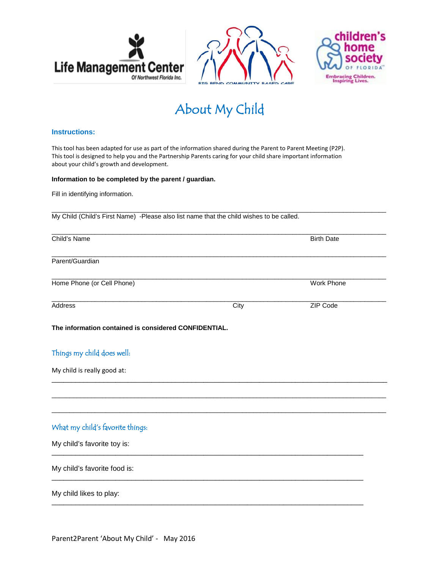





# About My Child

#### **Instructions:**

This tool has been adapted for use as part of the information shared during the Parent to Parent Meeting (P2P). This tool is designed to help you and the Partnership Parents caring for your child share important information about your child's growth and development.

#### **Information to be completed by the parent / guardian.**

Fill in identifying information.

 $\_$  ,  $\_$  ,  $\_$  ,  $\_$  ,  $\_$  ,  $\_$  ,  $\_$  ,  $\_$  ,  $\_$  ,  $\_$  ,  $\_$  ,  $\_$  ,  $\_$  ,  $\_$  ,  $\_$  ,  $\_$  ,  $\_$  ,  $\_$  ,  $\_$  ,  $\_$  ,  $\_$  ,  $\_$  ,  $\_$  ,  $\_$  ,  $\_$  ,  $\_$  ,  $\_$  ,  $\_$  ,  $\_$  ,  $\_$  ,  $\_$  ,  $\_$  ,  $\_$  ,  $\_$  ,  $\_$  ,  $\_$  ,  $\_$  , My Child (Child's First Name) -Please also list name that the child wishes to be called.

| Child's Name                                          |      | <b>Birth Date</b> |
|-------------------------------------------------------|------|-------------------|
| Parent/Guardian                                       |      |                   |
| Home Phone (or Cell Phone)                            |      | Work Phone        |
| Address                                               | City | ZIP Code          |
| The information contained is considered CONFIDENTIAL. |      |                   |
| Things my child does well:                            |      |                   |
| My child is really good at:                           |      |                   |
|                                                       |      |                   |
| What my child's favorite things:                      |      |                   |
| My child's favorite toy is:                           |      |                   |
| My child's favorite food is:                          |      |                   |
| My child likes to play:                               |      |                   |
|                                                       |      |                   |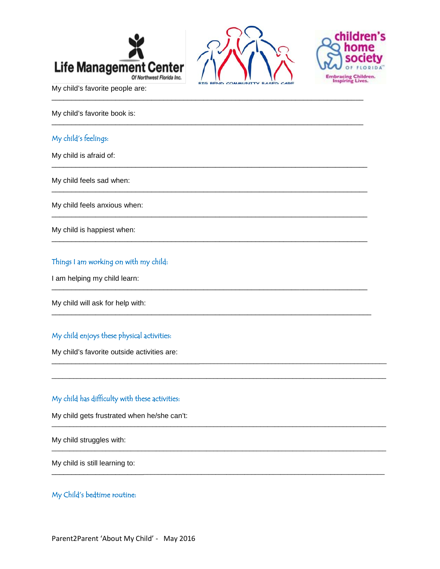





My child's favorite people are:

My child's favorite book is:

#### My child's feelings:

My child is afraid of:

My child feels sad when:

My child feels anxious when:

My child is happiest when:

#### Things I am working on with my child:

I am helping my child learn:

My child will ask for help with:

## My child enjoys these physical activities:

My child's favorite outside activities are:

## My child has difficulty with these activities:

My child gets frustrated when he/she can't:

My child struggles with:

My child is still learning to:

### My Child's bedtime routine: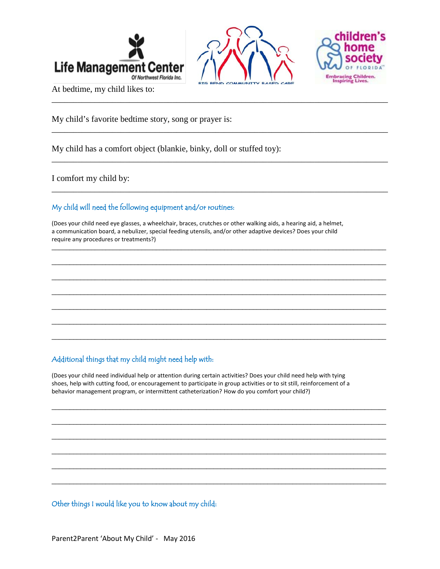



\_\_\_\_\_\_\_\_\_\_\_\_\_\_\_\_\_\_\_\_\_\_\_\_\_\_\_\_\_\_\_\_\_\_\_\_\_\_\_\_\_\_\_\_\_\_\_\_\_\_\_\_\_\_\_\_\_\_\_\_\_\_\_\_\_\_\_\_\_\_\_\_\_\_\_\_\_\_

\_\_\_\_\_\_\_\_\_\_\_\_\_\_\_\_\_\_\_\_\_\_\_\_\_\_\_\_\_\_\_\_\_\_\_\_\_\_\_\_\_\_\_\_\_\_\_\_\_\_\_\_\_\_\_\_\_\_\_\_\_\_\_\_\_\_\_\_\_\_\_\_\_\_\_\_\_\_

\_\_\_\_\_\_\_\_\_\_\_\_\_\_\_\_\_\_\_\_\_\_\_\_\_\_\_\_\_\_\_\_\_\_\_\_\_\_\_\_\_\_\_\_\_\_\_\_\_\_\_\_\_\_\_\_\_\_\_\_\_\_\_\_\_\_\_\_\_\_\_\_\_\_\_\_\_\_

\_\_\_\_\_\_\_\_\_\_\_\_\_\_\_\_\_\_\_\_\_\_\_\_\_\_\_\_\_\_\_\_\_\_\_\_\_\_\_\_\_\_\_\_\_\_\_\_\_\_\_\_\_\_\_\_\_\_\_\_\_\_\_\_\_\_\_\_\_\_\_\_\_\_\_\_\_\_

 $\overline{\phantom{a}}$  ,  $\overline{\phantom{a}}$  ,  $\overline{\phantom{a}}$  ,  $\overline{\phantom{a}}$  ,  $\overline{\phantom{a}}$  ,  $\overline{\phantom{a}}$  ,  $\overline{\phantom{a}}$  ,  $\overline{\phantom{a}}$  ,  $\overline{\phantom{a}}$  ,  $\overline{\phantom{a}}$  ,  $\overline{\phantom{a}}$  ,  $\overline{\phantom{a}}$  ,  $\overline{\phantom{a}}$  ,  $\overline{\phantom{a}}$  ,  $\overline{\phantom{a}}$  ,  $\overline{\phantom{a}}$ 

 $\overline{\phantom{a}}$  ,  $\overline{\phantom{a}}$  ,  $\overline{\phantom{a}}$  ,  $\overline{\phantom{a}}$  ,  $\overline{\phantom{a}}$  ,  $\overline{\phantom{a}}$  ,  $\overline{\phantom{a}}$  ,  $\overline{\phantom{a}}$  ,  $\overline{\phantom{a}}$  ,  $\overline{\phantom{a}}$  ,  $\overline{\phantom{a}}$  ,  $\overline{\phantom{a}}$  ,  $\overline{\phantom{a}}$  ,  $\overline{\phantom{a}}$  ,  $\overline{\phantom{a}}$  ,  $\overline{\phantom{a}}$ 

 $\overline{\phantom{a}}$  ,  $\overline{\phantom{a}}$  ,  $\overline{\phantom{a}}$  ,  $\overline{\phantom{a}}$  ,  $\overline{\phantom{a}}$  ,  $\overline{\phantom{a}}$  ,  $\overline{\phantom{a}}$  ,  $\overline{\phantom{a}}$  ,  $\overline{\phantom{a}}$  ,  $\overline{\phantom{a}}$  ,  $\overline{\phantom{a}}$  ,  $\overline{\phantom{a}}$  ,  $\overline{\phantom{a}}$  ,  $\overline{\phantom{a}}$  ,  $\overline{\phantom{a}}$  ,  $\overline{\phantom{a}}$ 

 $\overline{\phantom{a}}$  ,  $\overline{\phantom{a}}$  ,  $\overline{\phantom{a}}$  ,  $\overline{\phantom{a}}$  ,  $\overline{\phantom{a}}$  ,  $\overline{\phantom{a}}$  ,  $\overline{\phantom{a}}$  ,  $\overline{\phantom{a}}$  ,  $\overline{\phantom{a}}$  ,  $\overline{\phantom{a}}$  ,  $\overline{\phantom{a}}$  ,  $\overline{\phantom{a}}$  ,  $\overline{\phantom{a}}$  ,  $\overline{\phantom{a}}$  ,  $\overline{\phantom{a}}$  ,  $\overline{\phantom{a}}$ 

 $\overline{\phantom{a}}$  ,  $\overline{\phantom{a}}$  ,  $\overline{\phantom{a}}$  ,  $\overline{\phantom{a}}$  ,  $\overline{\phantom{a}}$  ,  $\overline{\phantom{a}}$  ,  $\overline{\phantom{a}}$  ,  $\overline{\phantom{a}}$  ,  $\overline{\phantom{a}}$  ,  $\overline{\phantom{a}}$  ,  $\overline{\phantom{a}}$  ,  $\overline{\phantom{a}}$  ,  $\overline{\phantom{a}}$  ,  $\overline{\phantom{a}}$  ,  $\overline{\phantom{a}}$  ,  $\overline{\phantom{a}}$ 

 $\overline{\phantom{a}}$  ,  $\overline{\phantom{a}}$  ,  $\overline{\phantom{a}}$  ,  $\overline{\phantom{a}}$  ,  $\overline{\phantom{a}}$  ,  $\overline{\phantom{a}}$  ,  $\overline{\phantom{a}}$  ,  $\overline{\phantom{a}}$  ,  $\overline{\phantom{a}}$  ,  $\overline{\phantom{a}}$  ,  $\overline{\phantom{a}}$  ,  $\overline{\phantom{a}}$  ,  $\overline{\phantom{a}}$  ,  $\overline{\phantom{a}}$  ,  $\overline{\phantom{a}}$  ,  $\overline{\phantom{a}}$ 

 $\overline{\phantom{a}}$  ,  $\overline{\phantom{a}}$  ,  $\overline{\phantom{a}}$  ,  $\overline{\phantom{a}}$  ,  $\overline{\phantom{a}}$  ,  $\overline{\phantom{a}}$  ,  $\overline{\phantom{a}}$  ,  $\overline{\phantom{a}}$  ,  $\overline{\phantom{a}}$  ,  $\overline{\phantom{a}}$  ,  $\overline{\phantom{a}}$  ,  $\overline{\phantom{a}}$  ,  $\overline{\phantom{a}}$  ,  $\overline{\phantom{a}}$  ,  $\overline{\phantom{a}}$  ,  $\overline{\phantom{a}}$ 

 $\_$  ,  $\_$  ,  $\_$  ,  $\_$  ,  $\_$  ,  $\_$  ,  $\_$  ,  $\_$  ,  $\_$  ,  $\_$  ,  $\_$  ,  $\_$  ,  $\_$  ,  $\_$  ,  $\_$  ,  $\_$  ,  $\_$  ,  $\_$  ,  $\_$  ,  $\_$  ,  $\_$  ,  $\_$  ,  $\_$  ,  $\_$  ,  $\_$  ,  $\_$  ,  $\_$  ,  $\_$  ,  $\_$  ,  $\_$  ,  $\_$  ,  $\_$  ,  $\_$  ,  $\_$  ,  $\_$  ,  $\_$  ,  $\_$  ,

 $\overline{\phantom{a}}$  ,  $\overline{\phantom{a}}$  ,  $\overline{\phantom{a}}$  ,  $\overline{\phantom{a}}$  ,  $\overline{\phantom{a}}$  ,  $\overline{\phantom{a}}$  ,  $\overline{\phantom{a}}$  ,  $\overline{\phantom{a}}$  ,  $\overline{\phantom{a}}$  ,  $\overline{\phantom{a}}$  ,  $\overline{\phantom{a}}$  ,  $\overline{\phantom{a}}$  ,  $\overline{\phantom{a}}$  ,  $\overline{\phantom{a}}$  ,  $\overline{\phantom{a}}$  ,  $\overline{\phantom{a}}$ 

 $\overline{\phantom{a}}$  ,  $\overline{\phantom{a}}$  ,  $\overline{\phantom{a}}$  ,  $\overline{\phantom{a}}$  ,  $\overline{\phantom{a}}$  ,  $\overline{\phantom{a}}$  ,  $\overline{\phantom{a}}$  ,  $\overline{\phantom{a}}$  ,  $\overline{\phantom{a}}$  ,  $\overline{\phantom{a}}$  ,  $\overline{\phantom{a}}$  ,  $\overline{\phantom{a}}$  ,  $\overline{\phantom{a}}$  ,  $\overline{\phantom{a}}$  ,  $\overline{\phantom{a}}$  ,  $\overline{\phantom{a}}$ 

 $\overline{\phantom{a}}$  ,  $\overline{\phantom{a}}$  ,  $\overline{\phantom{a}}$  ,  $\overline{\phantom{a}}$  ,  $\overline{\phantom{a}}$  ,  $\overline{\phantom{a}}$  ,  $\overline{\phantom{a}}$  ,  $\overline{\phantom{a}}$  ,  $\overline{\phantom{a}}$  ,  $\overline{\phantom{a}}$  ,  $\overline{\phantom{a}}$  ,  $\overline{\phantom{a}}$  ,  $\overline{\phantom{a}}$  ,  $\overline{\phantom{a}}$  ,  $\overline{\phantom{a}}$  ,  $\overline{\phantom{a}}$ 

 $\_$  ,  $\_$  ,  $\_$  ,  $\_$  ,  $\_$  ,  $\_$  ,  $\_$  ,  $\_$  ,  $\_$  ,  $\_$  ,  $\_$  ,  $\_$  ,  $\_$  ,  $\_$  ,  $\_$  ,  $\_$  ,  $\_$  ,  $\_$  ,  $\_$  ,  $\_$  ,  $\_$  ,  $\_$  ,  $\_$  ,  $\_$  ,  $\_$  ,  $\_$  ,  $\_$  ,  $\_$  ,  $\_$  ,  $\_$  ,  $\_$  ,  $\_$  ,  $\_$  ,  $\_$  ,  $\_$  ,  $\_$  ,  $\_$  ,

 $\overline{\phantom{a}}$  ,  $\overline{\phantom{a}}$  ,  $\overline{\phantom{a}}$  ,  $\overline{\phantom{a}}$  ,  $\overline{\phantom{a}}$  ,  $\overline{\phantom{a}}$  ,  $\overline{\phantom{a}}$  ,  $\overline{\phantom{a}}$  ,  $\overline{\phantom{a}}$  ,  $\overline{\phantom{a}}$  ,  $\overline{\phantom{a}}$  ,  $\overline{\phantom{a}}$  ,  $\overline{\phantom{a}}$  ,  $\overline{\phantom{a}}$  ,  $\overline{\phantom{a}}$  ,  $\overline{\phantom{a}}$ 



At bedtime, my child likes to:

My child's favorite bedtime story, song or prayer is:

My child has a comfort object (blankie, binky, doll or stuffed toy):

I comfort my child by:

# My child will need the following equipment and/or routines:

(Does your child need eye glasses, a wheelchair, braces, crutches or other walking aids, a hearing aid, a helmet, a communication board, a nebulizer, special feeding utensils, and/or other adaptive devices? Does your child require any procedures or treatments?)

# Additional things that my child might need help with:

(Does your child need individual help or attention during certain activities? Does your child need help with tying shoes, help with cutting food, or encouragement to participate in group activities or to sit still, reinforcement of a behavior management program, or intermittent catheterization? How do you comfort your child?)

Other things I would like you to know about my child: